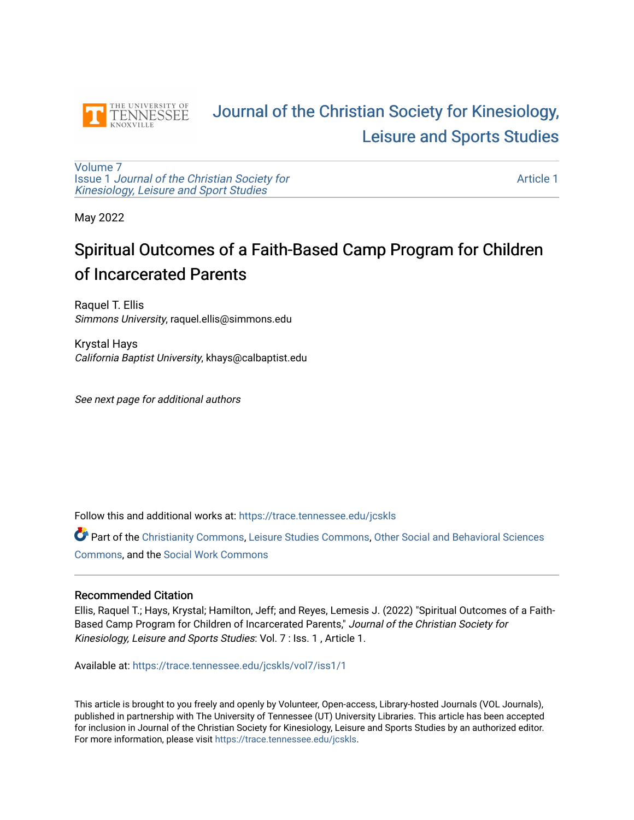

# [Journal of the Christian Society for Kinesiology,](https://trace.tennessee.edu/jcskls)  [Leisure and Sports Studies](https://trace.tennessee.edu/jcskls)

[Volume 7](https://trace.tennessee.edu/jcskls/vol7) Issue 1 [Journal of the Christian Society for](https://trace.tennessee.edu/jcskls/vol7/iss1) [Kinesiology, Leisure and Sport Studies](https://trace.tennessee.edu/jcskls/vol7/iss1) 

[Article 1](https://trace.tennessee.edu/jcskls/vol7/iss1/1) 

May 2022

# Spiritual Outcomes of a Faith-Based Camp Program for Children of Incarcerated Parents

Raquel T. Ellis Simmons University, raquel.ellis@simmons.edu

Krystal Hays California Baptist University, khays@calbaptist.edu

See next page for additional authors

Follow this and additional works at: [https://trace.tennessee.edu/jcskls](https://trace.tennessee.edu/jcskls?utm_source=trace.tennessee.edu%2Fjcskls%2Fvol7%2Fiss1%2F1&utm_medium=PDF&utm_campaign=PDFCoverPages) 

Part of the [Christianity Commons,](https://network.bepress.com/hgg/discipline/1181?utm_source=trace.tennessee.edu%2Fjcskls%2Fvol7%2Fiss1%2F1&utm_medium=PDF&utm_campaign=PDFCoverPages) [Leisure Studies Commons,](https://network.bepress.com/hgg/discipline/1197?utm_source=trace.tennessee.edu%2Fjcskls%2Fvol7%2Fiss1%2F1&utm_medium=PDF&utm_campaign=PDFCoverPages) [Other Social and Behavioral Sciences](https://network.bepress.com/hgg/discipline/437?utm_source=trace.tennessee.edu%2Fjcskls%2Fvol7%2Fiss1%2F1&utm_medium=PDF&utm_campaign=PDFCoverPages)  [Commons](https://network.bepress.com/hgg/discipline/437?utm_source=trace.tennessee.edu%2Fjcskls%2Fvol7%2Fiss1%2F1&utm_medium=PDF&utm_campaign=PDFCoverPages), and the [Social Work Commons](https://network.bepress.com/hgg/discipline/713?utm_source=trace.tennessee.edu%2Fjcskls%2Fvol7%2Fiss1%2F1&utm_medium=PDF&utm_campaign=PDFCoverPages)

#### Recommended Citation

Ellis, Raquel T.; Hays, Krystal; Hamilton, Jeff; and Reyes, Lemesis J. (2022) "Spiritual Outcomes of a Faith-Based Camp Program for Children of Incarcerated Parents," Journal of the Christian Society for Kinesiology, Leisure and Sports Studies: Vol. 7 : Iss. 1 , Article 1.

Available at: [https://trace.tennessee.edu/jcskls/vol7/iss1/1](https://trace.tennessee.edu/jcskls/vol7/iss1/1?utm_source=trace.tennessee.edu%2Fjcskls%2Fvol7%2Fiss1%2F1&utm_medium=PDF&utm_campaign=PDFCoverPages) 

This article is brought to you freely and openly by Volunteer, Open-access, Library-hosted Journals (VOL Journals), published in partnership with The University of Tennessee (UT) University Libraries. This article has been accepted for inclusion in Journal of the Christian Society for Kinesiology, Leisure and Sports Studies by an authorized editor. For more information, please visit <https://trace.tennessee.edu/jcskls>.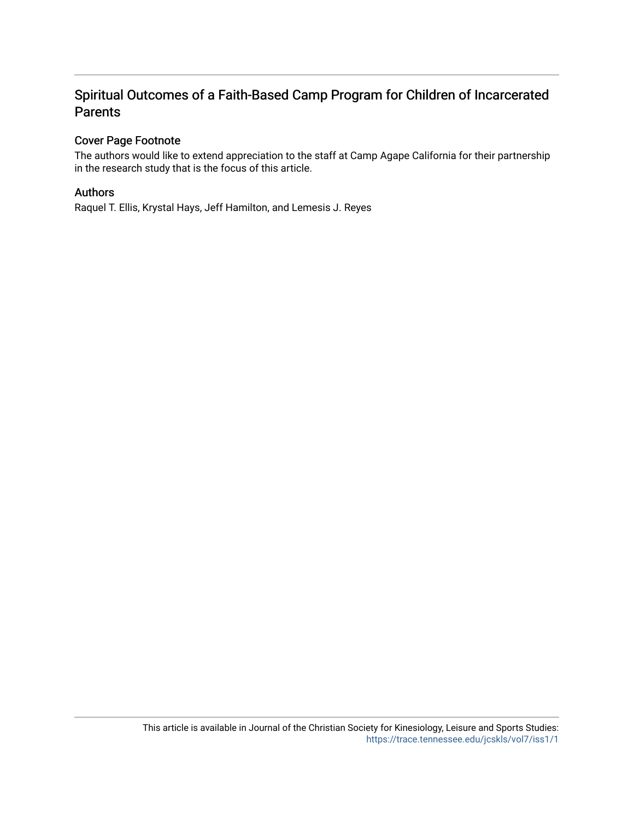# Spiritual Outcomes of a Faith-Based Camp Program for Children of Incarcerated Parents

# Cover Page Footnote

The authors would like to extend appreciation to the staff at Camp Agape California for their partnership in the research study that is the focus of this article.

# Authors

Raquel T. Ellis, Krystal Hays, Jeff Hamilton, and Lemesis J. Reyes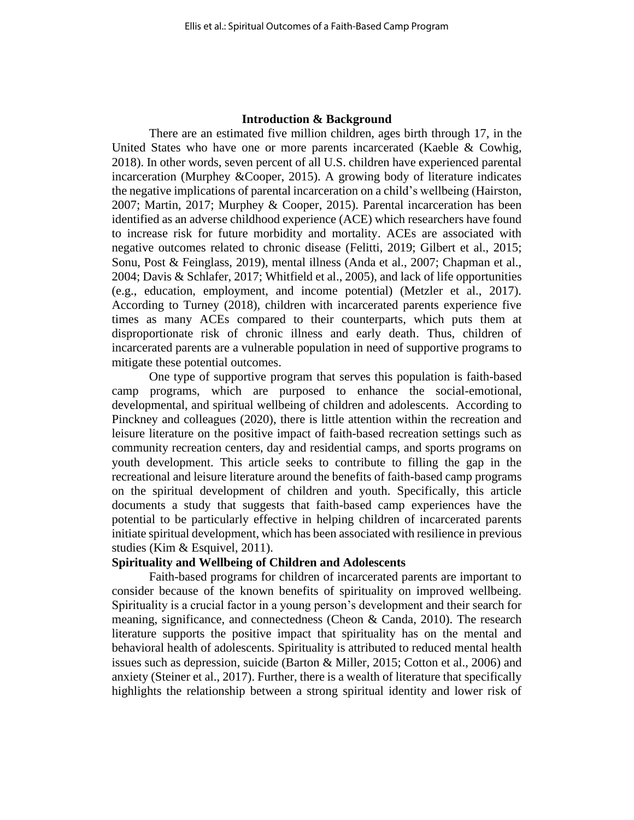#### **Introduction & Background**

There are an estimated five million children, ages birth through 17, in the United States who have one or more parents incarcerated (Kaeble & Cowhig, 2018). In other words, seven percent of all U.S. children have experienced parental incarceration (Murphey &Cooper, 2015). A growing body of literature indicates the negative implications of parental incarceration on a child's wellbeing (Hairston, 2007; Martin, 2017; Murphey & Cooper, 2015). Parental incarceration has been identified as an adverse childhood experience (ACE) which researchers have found to increase risk for future morbidity and mortality. ACEs are associated with negative outcomes related to chronic disease (Felitti, 2019; Gilbert et al., 2015; Sonu, Post & Feinglass, 2019), mental illness (Anda et al., 2007; Chapman et al., 2004; Davis & Schlafer, 2017; Whitfield et al., 2005), and lack of life opportunities (e.g., education, employment, and income potential) (Metzler et al., 2017). According to Turney (2018), children with incarcerated parents experience five times as many ACEs compared to their counterparts, which puts them at disproportionate risk of chronic illness and early death. Thus, children of incarcerated parents are a vulnerable population in need of supportive programs to mitigate these potential outcomes.

One type of supportive program that serves this population is faith-based camp programs, which are purposed to enhance the social-emotional, developmental, and spiritual wellbeing of children and adolescents. According to Pinckney and colleagues (2020), there is little attention within the recreation and leisure literature on the positive impact of faith-based recreation settings such as community recreation centers, day and residential camps, and sports programs on youth development. This article seeks to contribute to filling the gap in the recreational and leisure literature around the benefits of faith-based camp programs on the spiritual development of children and youth. Specifically, this article documents a study that suggests that faith-based camp experiences have the potential to be particularly effective in helping children of incarcerated parents initiate spiritual development, which has been associated with resilience in previous studies (Kim & Esquivel, 2011).

#### **Spirituality and Wellbeing of Children and Adolescents**

Faith-based programs for children of incarcerated parents are important to consider because of the known benefits of spirituality on improved wellbeing. Spirituality is a crucial factor in a young person's development and their search for meaning, significance, and connectedness (Cheon & Canda, 2010). The research literature supports the positive impact that spirituality has on the mental and behavioral health of adolescents. Spirituality is attributed to reduced mental health issues such as depression, suicide (Barton & Miller, 2015; Cotton et al., 2006) and anxiety (Steiner et al., 2017). Further, there is a wealth of literature that specifically highlights the relationship between a strong spiritual identity and lower risk of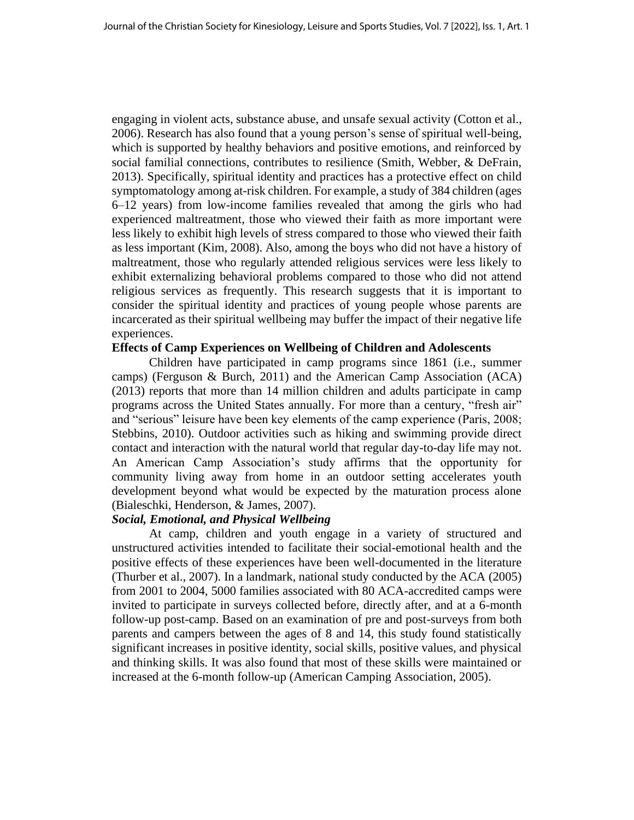engaging in violent acts, substance abuse, and unsafe sexual activity (Cotton et al., 2006). Research has also found that a young person's sense of spiritual well-being, which is supported by healthy behaviors and positive emotions, and reinforced by social familial connections, contributes to resilience (Smith, Webber, & DeFrain, 2013). Specifically, spiritual identity and practices has a protective effect on child symptomatology among at-risk children. For example, a study of 384 children (ages 6–12 years) from low-income families revealed that among the girls who had experienced maltreatment, those who viewed their faith as more important were less likely to exhibit high levels of stress compared to those who viewed their faith as less important (Kim, 2008). Also, among the boys who did not have a history of maltreatment, those who regularly attended religious services were less likely to exhibit externalizing behavioral problems compared to those who did not attend religious services as frequently. This research suggests that it is important to consider the spiritual identity and practices of young people whose parents are incarcerated as their spiritual wellbeing may buffer the impact of their negative life experiences.

#### **Effects of Camp Experiences on Wellbeing of Children and Adolescents**

Children have participated in camp programs since 1861 (i.e., summer camps) (Ferguson & Burch, 2011) and the American Camp Association (ACA) (2013) reports that more than 14 million children and adults participate in camp programs across the United States annually. For more than a century, "fresh air" and "serious" leisure have been key elements of the camp experience (Paris, 2008; Stebbins, 2010). Outdoor activities such as hiking and swimming provide direct contact and interaction with the natural world that regular day-to-day life may not. An American Camp Association's study affirms that the opportunity for community living away from home in an outdoor setting accelerates youth development beyond what would be expected by the maturation process alone (Bialeschki, Henderson, & James, 2007).

## *Social, Emotional, and Physical Wellbeing*

At camp, children and youth engage in a variety of structured and unstructured activities intended to facilitate their social-emotional health and the positive effects of these experiences have been well-documented in the literature (Thurber et al., 2007). In a landmark, national study conducted by the ACA (2005) from 2001 to 2004, 5000 families associated with 80 ACA-accredited camps were invited to participate in surveys collected before, directly after, and at a 6-month follow-up post-camp. Based on an examination of pre and post-surveys from both parents and campers between the ages of 8 and 14, this study found statistically significant increases in positive identity, social skills, positive values, and physical and thinking skills. It was also found that most of these skills were maintained or increased at the 6-month follow-up (American Camping Association, 2005).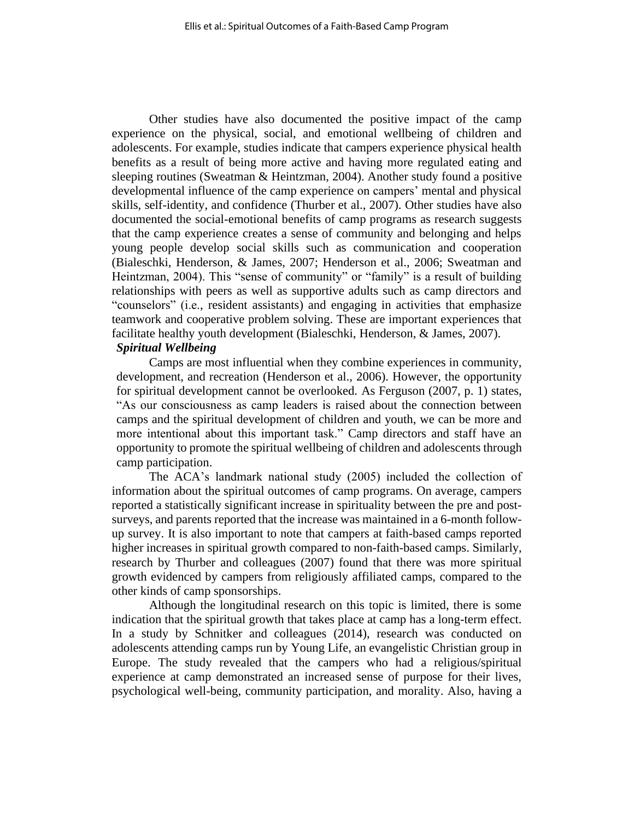Other studies have also documented the positive impact of the camp experience on the physical, social, and emotional wellbeing of children and adolescents. For example, studies indicate that campers experience physical health benefits as a result of being more active and having more regulated eating and sleeping routines (Sweatman & Heintzman, 2004). Another study found a positive developmental influence of the camp experience on campers' mental and physical skills, self-identity, and confidence (Thurber et al., 2007). Other studies have also documented the social-emotional benefits of camp programs as research suggests that the camp experience creates a sense of community and belonging and helps young people develop social skills such as communication and cooperation (Bialeschki, Henderson, & James, 2007; Henderson et al., 2006; Sweatman and Heintzman, 2004). This "sense of community" or "family" is a result of building relationships with peers as well as supportive adults such as camp directors and "counselors" (i.e., resident assistants) and engaging in activities that emphasize teamwork and cooperative problem solving. These are important experiences that facilitate healthy youth development (Bialeschki, Henderson, & James, 2007). *Spiritual Wellbeing*

Camps are most influential when they combine experiences in community, development, and recreation (Henderson et al., 2006). However, the opportunity for spiritual development cannot be overlooked. As Ferguson (2007, p. 1) states, "As our consciousness as camp leaders is raised about the connection between camps and the spiritual development of children and youth, we can be more and more intentional about this important task." Camp directors and staff have an opportunity to promote the spiritual wellbeing of children and adolescents through camp participation.

The ACA's landmark national study (2005) included the collection of information about the spiritual outcomes of camp programs. On average, campers reported a statistically significant increase in spirituality between the pre and postsurveys, and parents reported that the increase was maintained in a 6-month followup survey. It is also important to note that campers at faith-based camps reported higher increases in spiritual growth compared to non-faith-based camps. Similarly, research by Thurber and colleagues (2007) found that there was more spiritual growth evidenced by campers from religiously affiliated camps, compared to the other kinds of camp sponsorships.

Although the longitudinal research on this topic is limited, there is some indication that the spiritual growth that takes place at camp has a long-term effect. In a study by Schnitker and colleagues (2014), research was conducted on adolescents attending camps run by Young Life, an evangelistic Christian group in Europe. The study revealed that the campers who had a religious/spiritual experience at camp demonstrated an increased sense of purpose for their lives, psychological well-being, community participation, and morality. Also, having a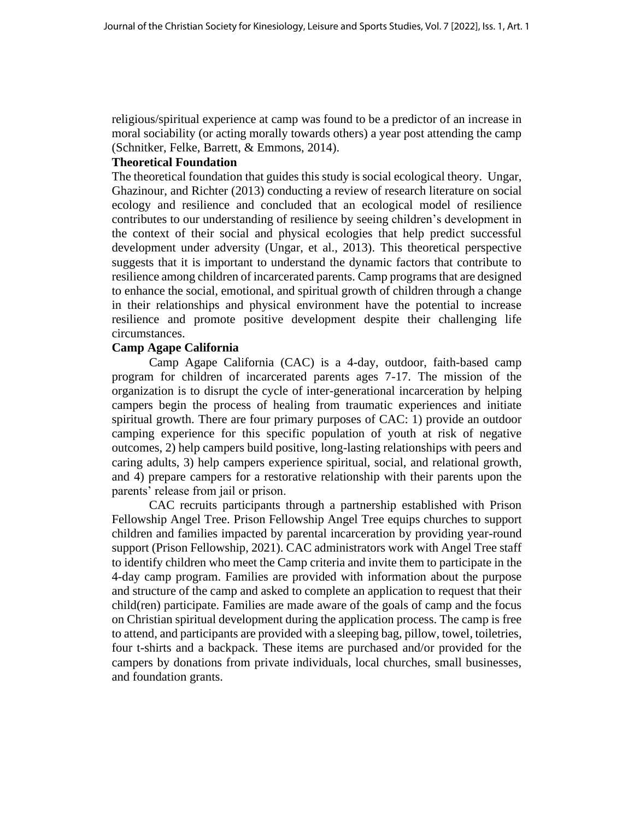religious/spiritual experience at camp was found to be a predictor of an increase in moral sociability (or acting morally towards others) a year post attending the camp (Schnitker, Felke, Barrett, & Emmons, 2014).

## **Theoretical Foundation**

The theoretical foundation that guides this study is social ecological theory. Ungar, Ghazinour, and Richter (2013) conducting a review of research literature on social ecology and resilience and concluded that an ecological model of resilience contributes to our understanding of resilience by seeing children's development in the context of their social and physical ecologies that help predict successful development under adversity (Ungar, et al., 2013). This theoretical perspective suggests that it is important to understand the dynamic factors that contribute to resilience among children of incarcerated parents. Camp programs that are designed to enhance the social, emotional, and spiritual growth of children through a change in their relationships and physical environment have the potential to increase resilience and promote positive development despite their challenging life circumstances.

# **Camp Agape California**

Camp Agape California (CAC) is a 4-day, outdoor, faith-based camp program for children of incarcerated parents ages 7-17. The mission of the organization is to disrupt the cycle of inter-generational incarceration by helping campers begin the process of healing from traumatic experiences and initiate spiritual growth. There are four primary purposes of CAC: 1) provide an outdoor camping experience for this specific population of youth at risk of negative outcomes, 2) help campers build positive, long-lasting relationships with peers and caring adults, 3) help campers experience spiritual, social, and relational growth, and 4) prepare campers for a restorative relationship with their parents upon the parents' release from jail or prison.

CAC recruits participants through a partnership established with Prison Fellowship Angel Tree. Prison Fellowship Angel Tree equips churches to support children and families impacted by parental incarceration by providing year-round support (Prison Fellowship, 2021). CAC administrators work with Angel Tree staff to identify children who meet the Camp criteria and invite them to participate in the 4-day camp program. Families are provided with information about the purpose and structure of the camp and asked to complete an application to request that their child(ren) participate. Families are made aware of the goals of camp and the focus on Christian spiritual development during the application process. The camp is free to attend, and participants are provided with a sleeping bag, pillow, towel, toiletries, four t-shirts and a backpack. These items are purchased and/or provided for the campers by donations from private individuals, local churches, small businesses, and foundation grants.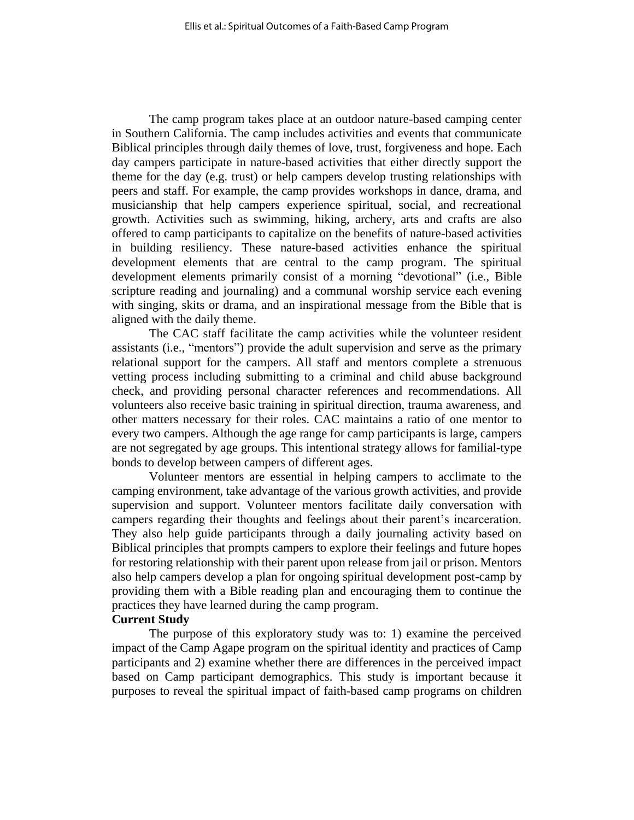The camp program takes place at an outdoor nature-based camping center in Southern California. The camp includes activities and events that communicate Biblical principles through daily themes of love, trust, forgiveness and hope. Each day campers participate in nature-based activities that either directly support the theme for the day (e.g. trust) or help campers develop trusting relationships with peers and staff. For example, the camp provides workshops in dance, drama, and musicianship that help campers experience spiritual, social, and recreational growth. Activities such as swimming, hiking, archery, arts and crafts are also offered to camp participants to capitalize on the benefits of nature-based activities in building resiliency. These nature-based activities enhance the spiritual development elements that are central to the camp program. The spiritual development elements primarily consist of a morning "devotional" (i.e., Bible scripture reading and journaling) and a communal worship service each evening with singing, skits or drama, and an inspirational message from the Bible that is aligned with the daily theme.

The CAC staff facilitate the camp activities while the volunteer resident assistants (i.e., "mentors") provide the adult supervision and serve as the primary relational support for the campers. All staff and mentors complete a strenuous vetting process including submitting to a criminal and child abuse background check, and providing personal character references and recommendations. All volunteers also receive basic training in spiritual direction, trauma awareness, and other matters necessary for their roles. CAC maintains a ratio of one mentor to every two campers. Although the age range for camp participants is large, campers are not segregated by age groups. This intentional strategy allows for familial-type bonds to develop between campers of different ages.

Volunteer mentors are essential in helping campers to acclimate to the camping environment, take advantage of the various growth activities, and provide supervision and support. Volunteer mentors facilitate daily conversation with campers regarding their thoughts and feelings about their parent's incarceration. They also help guide participants through a daily journaling activity based on Biblical principles that prompts campers to explore their feelings and future hopes for restoring relationship with their parent upon release from jail or prison. Mentors also help campers develop a plan for ongoing spiritual development post-camp by providing them with a Bible reading plan and encouraging them to continue the practices they have learned during the camp program.

## **Current Study**

The purpose of this exploratory study was to: 1) examine the perceived impact of the Camp Agape program on the spiritual identity and practices of Camp participants and 2) examine whether there are differences in the perceived impact based on Camp participant demographics. This study is important because it purposes to reveal the spiritual impact of faith-based camp programs on children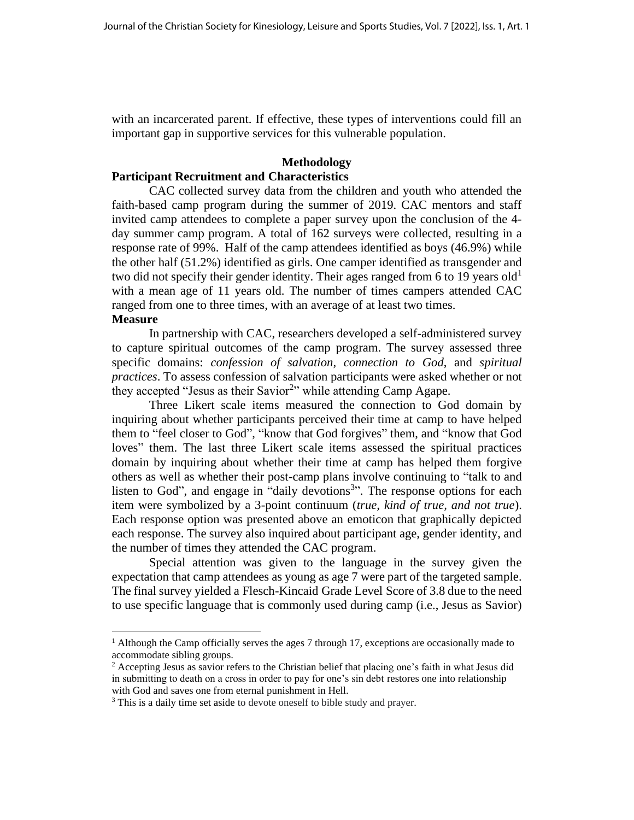with an incarcerated parent. If effective, these types of interventions could fill an important gap in supportive services for this vulnerable population.

#### **Methodology**

# **Participant Recruitment and Characteristics**

CAC collected survey data from the children and youth who attended the faith-based camp program during the summer of 2019. CAC mentors and staff invited camp attendees to complete a paper survey upon the conclusion of the 4 day summer camp program. A total of 162 surveys were collected, resulting in a response rate of 99%. Half of the camp attendees identified as boys (46.9%) while the other half (51.2%) identified as girls. One camper identified as transgender and two did not specify their gender identity. Their ages ranged from 6 to 19 years old<sup>1</sup> with a mean age of 11 years old. The number of times campers attended CAC ranged from one to three times, with an average of at least two times. **Measure**

In partnership with CAC, researchers developed a self-administered survey to capture spiritual outcomes of the camp program. The survey assessed three specific domains: *confession of salvation*, *connection to God*, and *spiritual practices*. To assess confession of salvation participants were asked whether or not they accepted "Jesus as their Savior<sup>2</sup>" while attending Camp Agape.

Three Likert scale items measured the connection to God domain by inquiring about whether participants perceived their time at camp to have helped them to "feel closer to God", "know that God forgives" them, and "know that God loves" them. The last three Likert scale items assessed the spiritual practices domain by inquiring about whether their time at camp has helped them forgive others as well as whether their post-camp plans involve continuing to "talk to and listen to God", and engage in "daily devotions<sup>3</sup>". The response options for each item were symbolized by a 3-point continuum (*true, kind of true, and not true*). Each response option was presented above an emoticon that graphically depicted each response. The survey also inquired about participant age, gender identity, and the number of times they attended the CAC program.

Special attention was given to the language in the survey given the expectation that camp attendees as young as age 7 were part of the targeted sample. The final survey yielded a Flesch-Kincaid Grade Level Score of 3.8 due to the need to use specific language that is commonly used during camp (i.e., Jesus as Savior)

<sup>&</sup>lt;sup>1</sup> Although the Camp officially serves the ages 7 through 17, exceptions are occasionally made to accommodate sibling groups.

<sup>2</sup> Accepting Jesus as savior refers to the Christian belief that placing one's faith in what Jesus did in submitting to death on a cross in order to pay for one's sin debt restores one into relationship with God and saves one from eternal punishment in Hell.

<sup>&</sup>lt;sup>3</sup> This is a daily time set aside to devote oneself to bible study and prayer.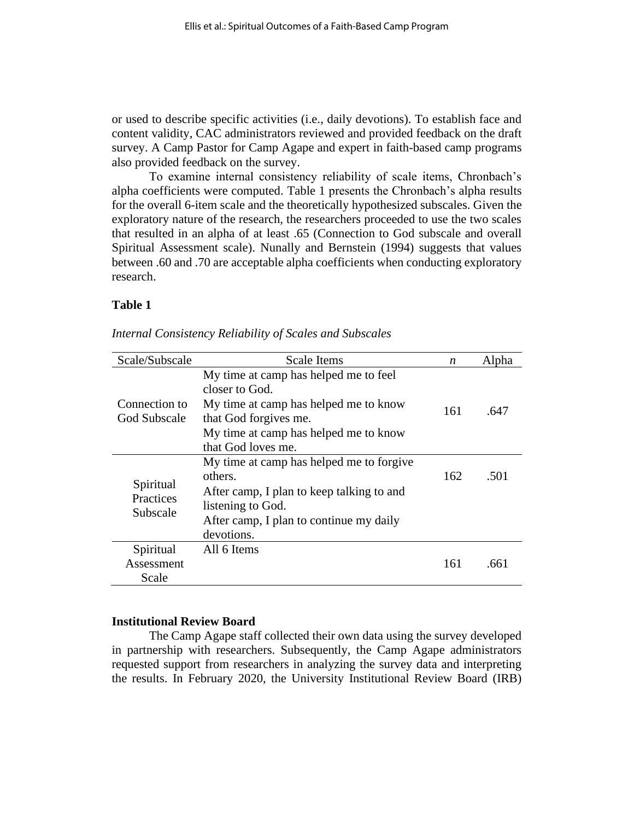or used to describe specific activities (i.e., daily devotions). To establish face and content validity, CAC administrators reviewed and provided feedback on the draft survey. A Camp Pastor for Camp Agape and expert in faith-based camp programs also provided feedback on the survey.

To examine internal consistency reliability of scale items, Chronbach's alpha coefficients were computed. Table 1 presents the Chronbach's alpha results for the overall 6-item scale and the theoretically hypothesized subscales. Given the exploratory nature of the research, the researchers proceeded to use the two scales that resulted in an alpha of at least .65 (Connection to God subscale and overall Spiritual Assessment scale). Nunally and Bernstein (1994) suggests that values between .60 and .70 are acceptable alpha coefficients when conducting exploratory research.

#### **Table 1**

| Scale/Subscale                     | <b>Scale Items</b>                                                                                                                                                                       | n   | Alpha |
|------------------------------------|------------------------------------------------------------------------------------------------------------------------------------------------------------------------------------------|-----|-------|
| Connection to<br>God Subscale      | My time at camp has helped me to feel<br>closer to God.<br>My time at camp has helped me to know<br>that God forgives me.<br>My time at camp has helped me to know<br>that God loves me. | 161 | .647  |
| Spiritual<br>Practices<br>Subscale | My time at camp has helped me to forgive<br>others.<br>After camp, I plan to keep talking to and<br>listening to God.<br>After camp, I plan to continue my daily<br>devotions.           | 162 | .501  |
| Spiritual<br>Assessment<br>Scale   | All 6 Items                                                                                                                                                                              | 161 | .661  |

*Internal Consistency Reliability of Scales and Subscales*

# **Institutional Review Board**

The Camp Agape staff collected their own data using the survey developed in partnership with researchers. Subsequently, the Camp Agape administrators requested support from researchers in analyzing the survey data and interpreting the results. In February 2020, the University Institutional Review Board (IRB)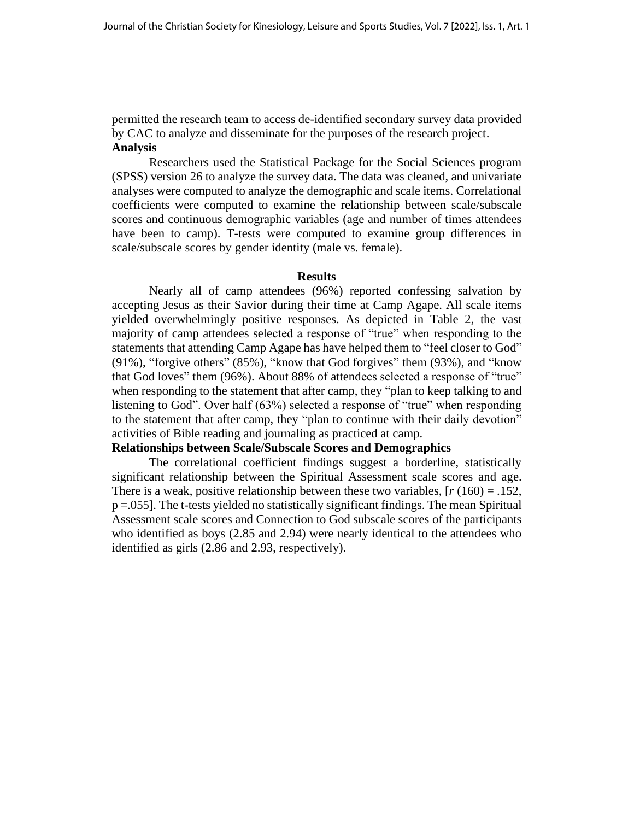permitted the research team to access de-identified secondary survey data provided by CAC to analyze and disseminate for the purposes of the research project. **Analysis** 

Researchers used the Statistical Package for the Social Sciences program (SPSS) version 26 to analyze the survey data. The data was cleaned, and univariate analyses were computed to analyze the demographic and scale items. Correlational coefficients were computed to examine the relationship between scale/subscale scores and continuous demographic variables (age and number of times attendees have been to camp). T-tests were computed to examine group differences in scale/subscale scores by gender identity (male vs. female).

#### **Results**

Nearly all of camp attendees (96%) reported confessing salvation by accepting Jesus as their Savior during their time at Camp Agape. All scale items yielded overwhelmingly positive responses. As depicted in Table 2, the vast majority of camp attendees selected a response of "true" when responding to the statements that attending Camp Agape has have helped them to "feel closer to God" (91%), "forgive others" (85%), "know that God forgives" them (93%), and "know that God loves" them (96%). About 88% of attendees selected a response of "true" when responding to the statement that after camp, they "plan to keep talking to and listening to God". Over half (63%) selected a response of "true" when responding to the statement that after camp, they "plan to continue with their daily devotion" activities of Bible reading and journaling as practiced at camp.

# **Relationships between Scale/Subscale Scores and Demographics**

The correlational coefficient findings suggest a borderline, statistically significant relationship between the Spiritual Assessment scale scores and age. There is a weak, positive relationship between these two variables,  $[r(160) = .152]$ , p =.055]. The t-tests yielded no statistically significant findings. The mean Spiritual Assessment scale scores and Connection to God subscale scores of the participants who identified as boys (2.85 and 2.94) were nearly identical to the attendees who identified as girls (2.86 and 2.93, respectively).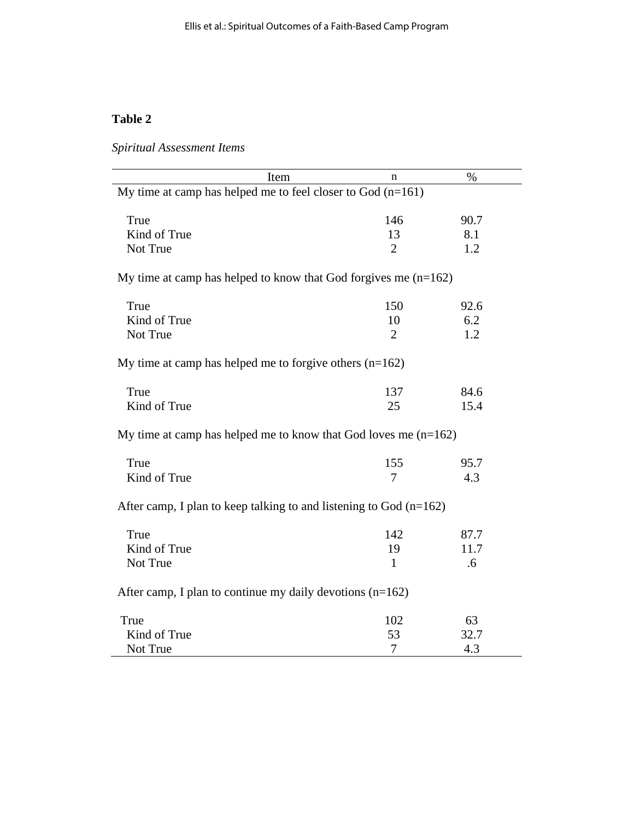# **Table 2**

*Spiritual Assessment Items*

| Item                                                                 | n              | %    |
|----------------------------------------------------------------------|----------------|------|
| My time at camp has helped me to feel closer to God $(n=161)$        |                |      |
| True                                                                 | 146            | 90.7 |
| Kind of True                                                         | 13             | 8.1  |
| Not True                                                             | $\overline{2}$ | 1.2  |
| My time at camp has helped to know that God forgives me $(n=162)$    |                |      |
| True                                                                 | 150            | 92.6 |
| Kind of True                                                         | 10             | 6.2  |
| Not True                                                             | $\overline{2}$ | 1.2  |
| My time at camp has helped me to forgive others $(n=162)$            |                |      |
| True                                                                 | 137            | 84.6 |
| Kind of True                                                         | 25             | 15.4 |
| My time at camp has helped me to know that God loves me $(n=162)$    |                |      |
| True                                                                 | 155            | 95.7 |
| Kind of True                                                         | 7              | 4.3  |
| After camp, I plan to keep talking to and listening to God $(n=162)$ |                |      |
| True                                                                 | 142            | 87.7 |
| Kind of True                                                         | 19             | 11.7 |
| Not True                                                             | $\mathbf{1}$   | .6   |
| After camp, I plan to continue my daily devotions $(n=162)$          |                |      |
| True                                                                 | 102            | 63   |
| Kind of True                                                         | 53             | 32.7 |
| Not True                                                             | 7              | 4.3  |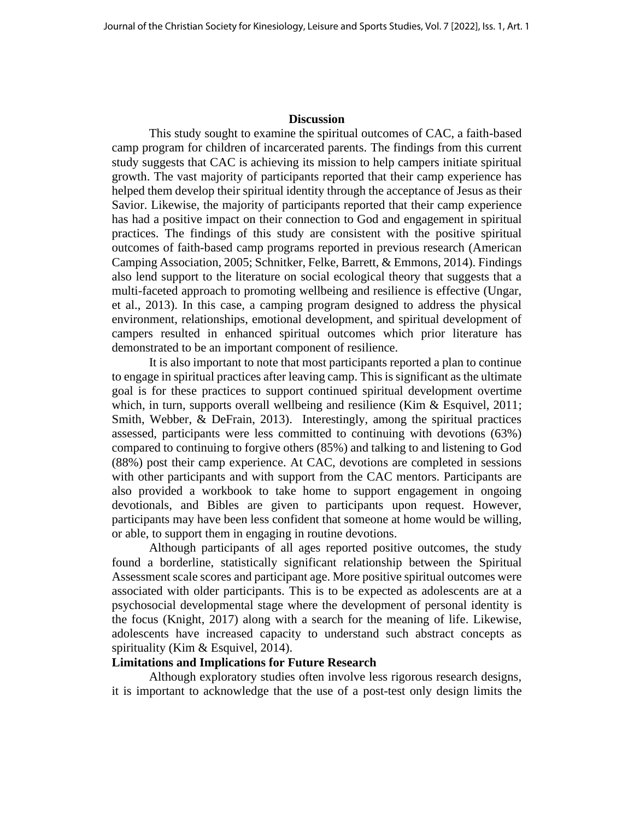#### **Discussion**

This study sought to examine the spiritual outcomes of CAC, a faith-based camp program for children of incarcerated parents. The findings from this current study suggests that CAC is achieving its mission to help campers initiate spiritual growth. The vast majority of participants reported that their camp experience has helped them develop their spiritual identity through the acceptance of Jesus as their Savior. Likewise, the majority of participants reported that their camp experience has had a positive impact on their connection to God and engagement in spiritual practices. The findings of this study are consistent with the positive spiritual outcomes of faith-based camp programs reported in previous research (American Camping Association, 2005; Schnitker, Felke, Barrett, & Emmons, 2014). Findings also lend support to the literature on social ecological theory that suggests that a multi-faceted approach to promoting wellbeing and resilience is effective (Ungar, et al., 2013). In this case, a camping program designed to address the physical environment, relationships, emotional development, and spiritual development of campers resulted in enhanced spiritual outcomes which prior literature has demonstrated to be an important component of resilience.

It is also important to note that most participants reported a plan to continue to engage in spiritual practices after leaving camp. This is significant as the ultimate goal is for these practices to support continued spiritual development overtime which, in turn, supports overall wellbeing and resilience (Kim & Esquivel, 2011; Smith, Webber, & DeFrain, 2013). Interestingly, among the spiritual practices assessed, participants were less committed to continuing with devotions (63%) compared to continuing to forgive others (85%) and talking to and listening to God (88%) post their camp experience. At CAC, devotions are completed in sessions with other participants and with support from the CAC mentors. Participants are also provided a workbook to take home to support engagement in ongoing devotionals, and Bibles are given to participants upon request. However, participants may have been less confident that someone at home would be willing, or able, to support them in engaging in routine devotions.

Although participants of all ages reported positive outcomes, the study found a borderline, statistically significant relationship between the Spiritual Assessment scale scores and participant age. More positive spiritual outcomes were associated with older participants. This is to be expected as adolescents are at a psychosocial developmental stage where the development of personal identity is the focus (Knight, 2017) along with a search for the meaning of life. Likewise, adolescents have increased capacity to understand such abstract concepts as spirituality (Kim & Esquivel, 2014).

#### **Limitations and Implications for Future Research**

Although exploratory studies often involve less rigorous research designs, it is important to acknowledge that the use of a post-test only design limits the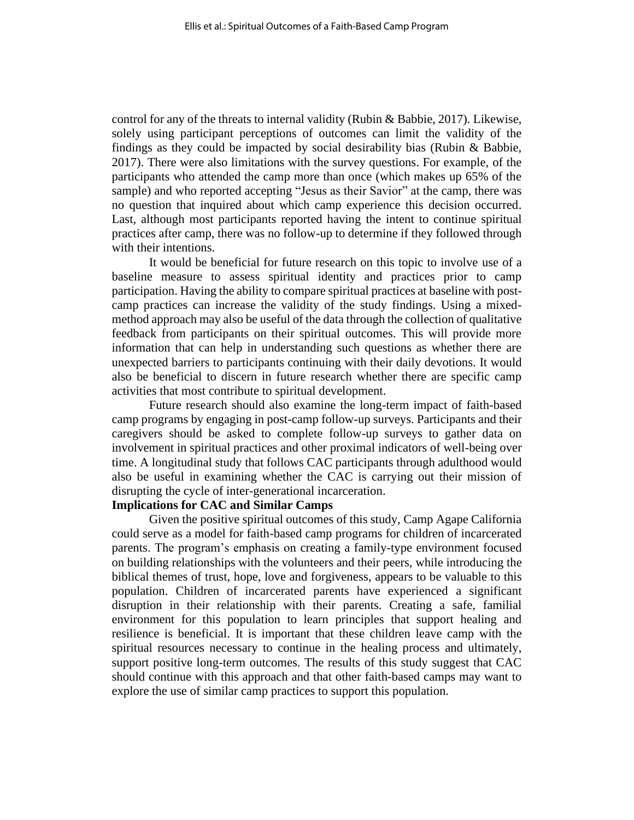control for any of the threats to internal validity (Rubin & Babbie, 2017). Likewise, solely using participant perceptions of outcomes can limit the validity of the findings as they could be impacted by social desirability bias (Rubin & Babbie, 2017). There were also limitations with the survey questions. For example, of the participants who attended the camp more than once (which makes up 65% of the sample) and who reported accepting "Jesus as their Savior" at the camp, there was no question that inquired about which camp experience this decision occurred. Last, although most participants reported having the intent to continue spiritual practices after camp, there was no follow-up to determine if they followed through with their intentions.

It would be beneficial for future research on this topic to involve use of a baseline measure to assess spiritual identity and practices prior to camp participation. Having the ability to compare spiritual practices at baseline with postcamp practices can increase the validity of the study findings. Using a mixedmethod approach may also be useful of the data through the collection of qualitative feedback from participants on their spiritual outcomes. This will provide more information that can help in understanding such questions as whether there are unexpected barriers to participants continuing with their daily devotions. It would also be beneficial to discern in future research whether there are specific camp activities that most contribute to spiritual development.

Future research should also examine the long-term impact of faith-based camp programs by engaging in post-camp follow-up surveys. Participants and their caregivers should be asked to complete follow-up surveys to gather data on involvement in spiritual practices and other proximal indicators of well-being over time. A longitudinal study that follows CAC participants through adulthood would also be useful in examining whether the CAC is carrying out their mission of disrupting the cycle of inter-generational incarceration.

#### **Implications for CAC and Similar Camps**

Given the positive spiritual outcomes of this study, Camp Agape California could serve as a model for faith-based camp programs for children of incarcerated parents. The program's emphasis on creating a family-type environment focused on building relationships with the volunteers and their peers, while introducing the biblical themes of trust, hope, love and forgiveness, appears to be valuable to this population. Children of incarcerated parents have experienced a significant disruption in their relationship with their parents. Creating a safe, familial environment for this population to learn principles that support healing and resilience is beneficial. It is important that these children leave camp with the spiritual resources necessary to continue in the healing process and ultimately, support positive long-term outcomes. The results of this study suggest that CAC should continue with this approach and that other faith-based camps may want to explore the use of similar camp practices to support this population.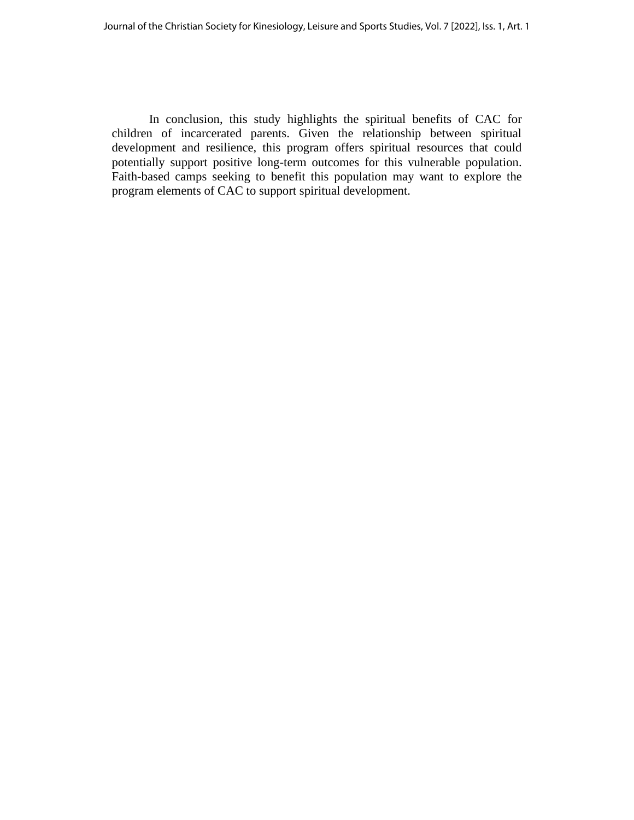In conclusion, this study highlights the spiritual benefits of CAC for children of incarcerated parents. Given the relationship between spiritual development and resilience, this program offers spiritual resources that could potentially support positive long-term outcomes for this vulnerable population. Faith-based camps seeking to benefit this population may want to explore the program elements of CAC to support spiritual development.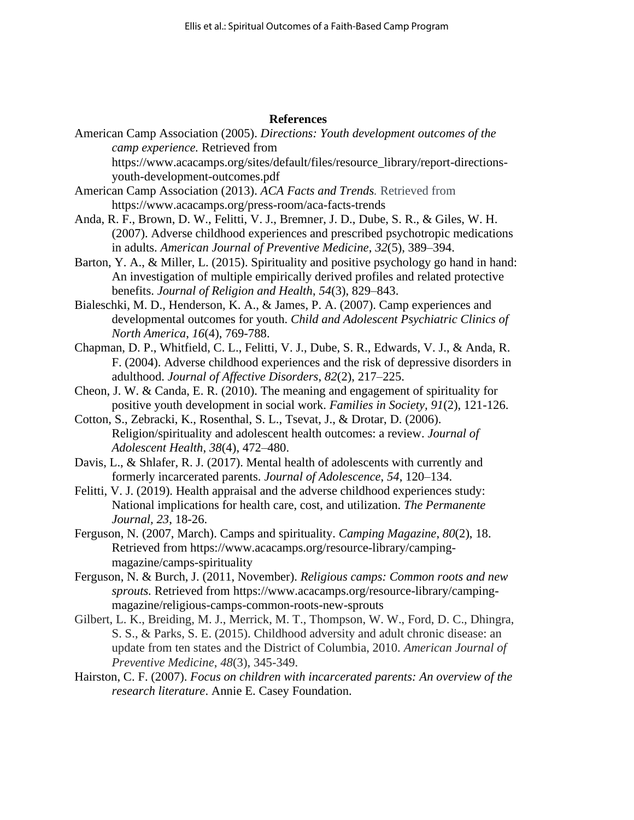#### **References**

- American Camp Association (2005). *Directions: Youth development outcomes of the camp experience.* Retrieved from https://www.acacamps.org/sites/default/files/resource\_library/report-directionsyouth-development-outcomes.pdf
- American Camp Association (2013). *ACA Facts and Trends.* Retrieved from https://www.acacamps.org/press-room/aca-facts-trends
- Anda, R. F., Brown, D. W., Felitti, V. J., Bremner, J. D., Dube, S. R., & Giles, W. H. (2007). Adverse childhood experiences and prescribed psychotropic medications in adults. *American Journal of Preventive Medicine*, *32*(5), 389–394.
- Barton, Y. A., & Miller, L. (2015). Spirituality and positive psychology go hand in hand: An investigation of multiple empirically derived profiles and related protective benefits. *Journal of Religion and Health*, *54*(3), 829–843.
- Bialeschki, M. D., Henderson, K. A., & James, P. A. (2007). Camp experiences and developmental outcomes for youth. *Child and Adolescent Psychiatric Clinics of North America*, *16*(4), 769-788.
- Chapman, D. P., Whitfield, C. L., Felitti, V. J., Dube, S. R., Edwards, V. J., & Anda, R. F. (2004). Adverse childhood experiences and the risk of depressive disorders in adulthood. *Journal of Affective Disorders*, *82*(2), 217–225.
- Cheon, J. W. & Canda, E. R. (2010). The meaning and engagement of spirituality for positive youth development in social work. *Families in Society, 91*(2), 121-126.
- Cotton, S., Zebracki, K., Rosenthal, S. L., Tsevat, J., & Drotar, D. (2006). Religion/spirituality and adolescent health outcomes: a review. *Journal of Adolescent Health*, *38*(4), 472–480.
- Davis, L., & Shlafer, R. J. (2017). Mental health of adolescents with currently and formerly incarcerated parents. *Journal of Adolescence*, *54*, 120–134.
- Felitti, V. J. (2019). Health appraisal and the adverse childhood experiences study: National implications for health care, cost, and utilization. *The Permanente Journal, 23*, 18-26.
- Ferguson, N. (2007, March). Camps and spirituality. *Camping Magazine*, *80*(2), 18. Retrieved from https://www.acacamps.org/resource-library/campingmagazine/camps-spirituality
- Ferguson, N. & Burch, J. (2011, November). *Religious camps: Common roots and new sprouts.* Retrieved from https://www.acacamps.org/resource-library/campingmagazine/religious-camps-common-roots-new-sprouts
- Gilbert, L. K., Breiding, M. J., Merrick, M. T., Thompson, W. W., Ford, D. C., Dhingra, S. S., & Parks, S. E. (2015). Childhood adversity and adult chronic disease: an update from ten states and the District of Columbia, 2010. *American Journal of Preventive Medicine*, *48*(3), 345-349.
- Hairston, C. F. (2007). *Focus on children with incarcerated parents: An overview of the research literature*. Annie E. Casey Foundation.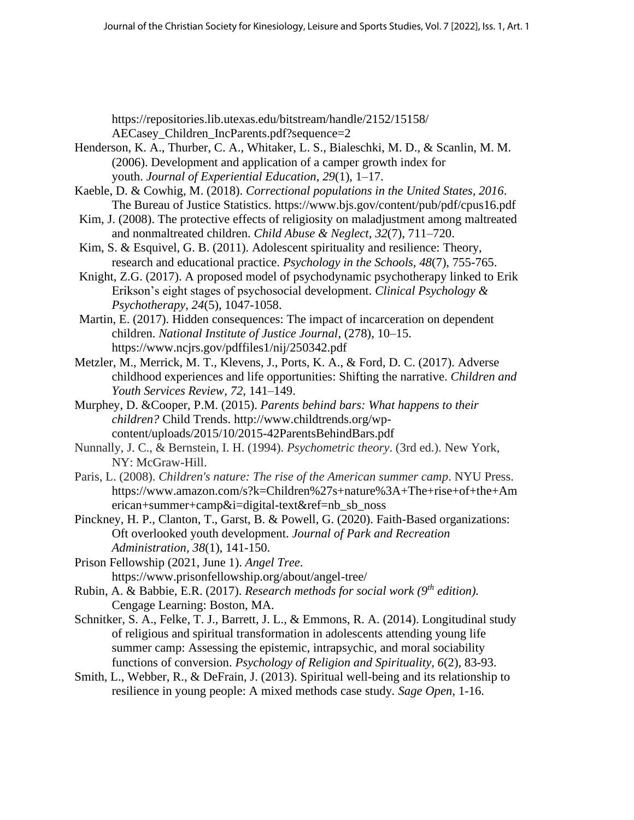https://repositories.lib.utexas.edu/bitstream/handle/2152/15158/ AECasey\_Children\_IncParents.pdf?sequence=2

- Henderson, K. A., Thurber, C. A., Whitaker, L. S., Bialeschki, M. D., & Scanlin, M. M. (2006). Development and application of a camper growth index for youth. *Journal of Experiential Education*, *29*(1), 1–17.
- Kaeble, D. & Cowhig, M. (2018). *Correctional populations in the United States, 2016*. The Bureau of Justice Statistics. https://www.bjs.gov/content/pub/pdf/cpus16.pdf
- Kim, J. (2008). The protective effects of religiosity on maladjustment among maltreated and nonmaltreated children. *Child Abuse & Neglect*, *32*(7), 711–720.
- Kim, S. & Esquivel, G. B. (2011). Adolescent spirituality and resilience: Theory, research and educational practice. *Psychology in the Schools, 48*(7), 755-765.
- Knight, Z.G. (2017). A proposed model of psychodynamic psychotherapy linked to Erik Erikson's eight stages of psychosocial development. *Clinical Psychology & Psychotherapy, 24*(5), 1047-1058.
- Martin, E. (2017). Hidden consequences: The impact of incarceration on dependent children. *National Institute of Justice Journal*, (278), 10–15. https://www.ncjrs.gov/pdffiles1/nij/250342.pdf
- Metzler, M., Merrick, M. T., Klevens, J., Ports, K. A., & Ford, D. C. (2017). Adverse childhood experiences and life opportunities: Shifting the narrative. *Children and Youth Services Review*, *72*, 141–149.
- Murphey, D. &Cooper, P.M. (2015). *Parents behind bars: What happens to their children?* Child Trends. http://www.childtrends.org/wpcontent/uploads/2015/10/2015-42ParentsBehindBars.pdf
- Nunnally, J. C., & Bernstein, I. H. (1994). *Psychometric theory*. (3rd ed.). New York, NY: McGraw-Hill.
- Paris, L. (2008). *Children's nature: The rise of the American summer camp*. NYU Press. https://www.amazon.com/s?k=Children%27s+nature%3A+The+rise+of+the+Am erican+summer+camp&i=digital-text&ref=nb\_sb\_noss
- Pinckney, H. P., Clanton, T., Garst, B. & Powell, G. (2020). Faith-Based organizations: Oft overlooked youth development. *Journal of Park and Recreation Administration, 38*(1), 141-150.
- Prison Fellowship (2021, June 1). *Angel Tree*. https://www.prisonfellowship.org/about/angel-tree/
- Rubin, A. & Babbie, E.R. (2017). *Research methods for social work (9th edition).* Cengage Learning: Boston, MA.
- Schnitker, S. A., Felke, T. J., Barrett, J. L., & Emmons, R. A. (2014). Longitudinal study of religious and spiritual transformation in adolescents attending young life summer camp: Assessing the epistemic, intrapsychic, and moral sociability functions of conversion. *Psychology of Religion and Spirituality, 6*(2), 83-93.
- Smith, L., Webber, R., & DeFrain, J. (2013). Spiritual well-being and its relationship to resilience in young people: A mixed methods case study*. Sage Open,* 1-16.